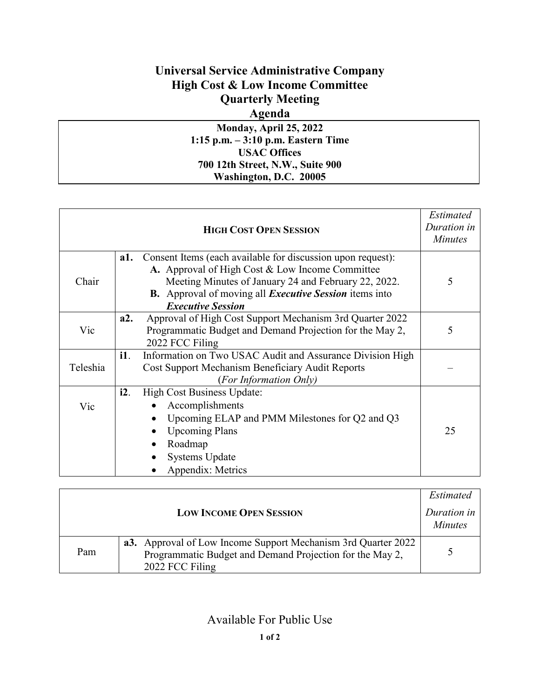# **Universal Service Administrative Company High Cost & Low Income Committee Quarterly Meeting**

### **Agenda**

**Monday, April 25, 2022 1:15 p.m. – 3:10 p.m. Eastern Time USAC Offices 700 12th Street, N.W., Suite 900 Washington, D.C. 20005**

|          |     | <b>HIGH COST OPEN SESSION</b>                                                                                                                                                                                                                                              | <i>Estimated</i><br>Duration in<br><b>Minutes</b> |
|----------|-----|----------------------------------------------------------------------------------------------------------------------------------------------------------------------------------------------------------------------------------------------------------------------------|---------------------------------------------------|
| Chair    | a1. | Consent Items (each available for discussion upon request):<br>A. Approval of High Cost & Low Income Committee<br>Meeting Minutes of January 24 and February 22, 2022.<br><b>B.</b> Approval of moving all <i>Executive Session</i> items into<br><b>Executive Session</b> | 5                                                 |
| Vic      | a2. | Approval of High Cost Support Mechanism 3rd Quarter 2022<br>Programmatic Budget and Demand Projection for the May 2,<br>2022 FCC Filing                                                                                                                                    | 5                                                 |
| Teleshia | i1. | Information on Two USAC Audit and Assurance Division High<br>Cost Support Mechanism Beneficiary Audit Reports<br>(For Information Only)                                                                                                                                    |                                                   |
| Vic      | i2. | High Cost Business Update:<br>Accomplishments<br>Upcoming ELAP and PMM Milestones for Q2 and Q3<br><b>Upcoming Plans</b><br>Roadmap<br><b>Systems Update</b><br>Appendix: Metrics                                                                                          | 25                                                |

|                                |                                                                                                                                                     | <i>Estimated</i>              |
|--------------------------------|-----------------------------------------------------------------------------------------------------------------------------------------------------|-------------------------------|
| <b>LOW INCOME OPEN SESSION</b> |                                                                                                                                                     | Duration in<br><b>Minutes</b> |
| Pam                            | <b>a3.</b> Approval of Low Income Support Mechanism 3rd Quarter 2022<br>Programmatic Budget and Demand Projection for the May 2,<br>2022 FCC Filing |                               |

## Available For Public Use